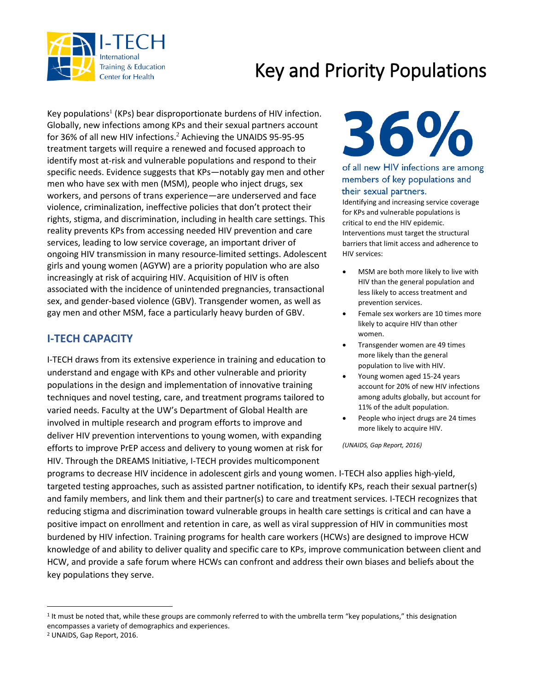

## Key and Priority Populations

Key populations<sup>1</sup> (KPs) bear disproportionate burdens of HIV infection. Globally, new infections among KPs and their sexual partners account for 36% of all new HIV infections. <sup>2</sup> Achieving the UNAIDS 95-95-95 treatment targets will require a renewed and focused approach to identify most at-risk and vulnerable populations and respond to their specific needs. Evidence suggests that KPs—notably gay men and other men who have sex with men (MSM), people who inject drugs, sex workers, and persons of trans experience—are underserved and face violence, criminalization, ineffective policies that don't protect their rights, stigma, and discrimination, including in health care settings. This reality prevents KPs from accessing needed HIV prevention and care services, leading to low service coverage, an important driver of ongoing HIV transmission in many resource-limited settings. Adolescent girls and young women (AGYW) are a priority population who are also increasingly at risk of acquiring HIV. Acquisition of HIV is often associated with the incidence of unintended pregnancies, transactional sex, and gender-based violence (GBV). Transgender women, as well as gay men and other MSM, face a particularly heavy burden of GBV.

### **I-TECH CAPACITY**

I-TECH draws from its extensive experience in training and education to understand and engage with KPs and other vulnerable and priority populations in the design and implementation of innovative training techniques and novel testing, care, and treatment programs tailored to varied needs. Faculty at the UW's Department of Global Health are involved in multiple research and program efforts to improve and deliver HIV prevention interventions to young women, with expanding efforts to improve PrEP access and delivery to young women at risk for HIV. Through the DREAMS Initiative, I-TECH provides multicomponent

# 36%

#### of all new HIV infections are among members of key populations and their sexual partners.

Identifying and increasing service coverage for KPs and vulnerable populations is critical to end the HIV epidemic. Interventions must target the structural barriers that limit access and adherence to HIV services:

- MSM are both more likely to live with HIV than the general population and less likely to access treatment and prevention services.
- Female sex workers are 10 times more likely to acquire HIV than other women.
- Transgender women are 49 times more likely than the general population to live with HIV.
- Young women aged 15-24 years account for 20% of new HIV infections among adults globally, but account for 11% of the adult population.
- People who inject drugs are 24 times more likely to acquire HIV.

*(UNAIDS, Gap Report, 2016)*

programs to decrease HIV incidence in adolescent girls and young women. I-TECH also applies high-yield, targeted testing approaches, such as assisted partner notification, to identify KPs, reach their sexual partner(s) and family members, and link them and their partner(s) to care and treatment services. I-TECH recognizes that reducing stigma and discrimination toward vulnerable groups in health care settings is critical and can have a positive impact on enrollment and retention in care, as well as viral suppression of HIV in communities most burdened by HIV infection. Training programs for health care workers (HCWs) are designed to improve HCW knowledge of and ability to deliver quality and specific care to KPs, improve communication between client and HCW, and provide a safe forum where HCWs can confront and address their own biases and beliefs about the key populations they serve.

 $\overline{\phantom{a}}$ 

<sup>&</sup>lt;sup>1</sup> It must be noted that, while these groups are commonly referred to with the umbrella term "key populations," this designation encompasses a variety of demographics and experiences.

<sup>2</sup> UNAIDS, Gap Report, 2016.